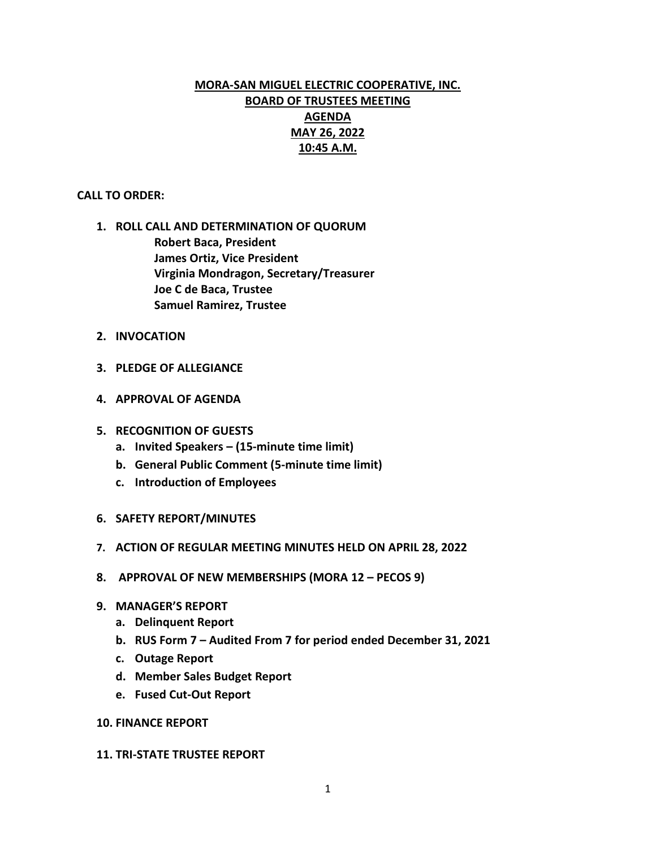# **MORA-SAN MIGUEL ELECTRIC COOPERATIVE, INC. BOARD OF TRUSTEES MEETING AGENDA MAY 26, 2022 10:45 A.M.**

#### **CALL TO ORDER:**

- **1. ROLL CALL AND DETERMINATION OF QUORUM Robert Baca, President James Ortiz, Vice President Virginia Mondragon, Secretary/Treasurer Joe C de Baca, Trustee Samuel Ramirez, Trustee**
- **2. INVOCATION**
- **3. PLEDGE OF ALLEGIANCE**
- **4. APPROVAL OF AGENDA**
- **5. RECOGNITION OF GUESTS**
	- **a. Invited Speakers – (15-minute time limit)**
	- **b. General Public Comment (5-minute time limit)**
	- **c. Introduction of Employees**
- **6. SAFETY REPORT/MINUTES**
- **7. ACTION OF REGULAR MEETING MINUTES HELD ON APRIL 28, 2022**
- **8. APPROVAL OF NEW MEMBERSHIPS (MORA 12 – PECOS 9)**
- **9. MANAGER'S REPORT**
	- **a. Delinquent Report**
	- **b. RUS Form 7 – Audited From 7 for period ended December 31, 2021**
	- **c. Outage Report**
	- **d. Member Sales Budget Report**
	- **e. Fused Cut-Out Report**
- **10. FINANCE REPORT**

#### **11. TRI-STATE TRUSTEE REPORT**